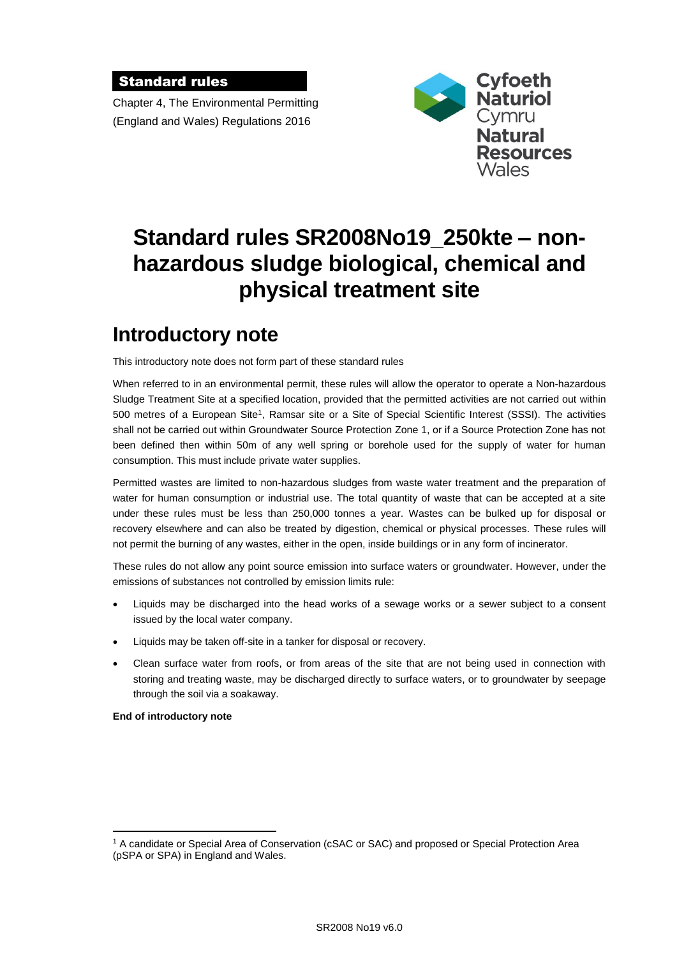### Standard rules

Chapter 4, The Environmental Permitting (England and Wales) Regulations 2016



# **Standard rules SR2008No19\_250kte – nonhazardous sludge biological, chemical and physical treatment site**

# **Introductory note**

This introductory note does not form part of these standard rules

When referred to in an environmental permit, these rules will allow the operator to operate a Non-hazardous Sludge Treatment Site at a specified location, provided that the permitted activities are not carried out within 500 metres of a European Site<sup>1</sup>, Ramsar site or a Site of Special Scientific Interest (SSSI). The activities shall not be carried out within Groundwater Source Protection Zone 1, or if a Source Protection Zone has not been defined then within 50m of any well spring or borehole used for the supply of water for human consumption. This must include private water supplies.

Permitted wastes are limited to non-hazardous sludges from waste water treatment and the preparation of water for human consumption or industrial use. The total quantity of waste that can be accepted at a site under these rules must be less than 250,000 tonnes a year. Wastes can be bulked up for disposal or recovery elsewhere and can also be treated by digestion, chemical or physical processes. These rules will not permit the burning of any wastes, either in the open, inside buildings or in any form of incinerator.

These rules do not allow any point source emission into surface waters or groundwater. However, under the emissions of substances not controlled by emission limits rule:

- Liquids may be discharged into the head works of a sewage works or a sewer subject to a consent issued by the local water company.
- Liquids may be taken off-site in a tanker for disposal or recovery.
- Clean surface water from roofs, or from areas of the site that are not being used in connection with storing and treating waste, may be discharged directly to surface waters, or to groundwater by seepage through the soil via a soakaway.

**End of introductory note**

 $\overline{a}$ 

<sup>1</sup> A candidate or Special Area of Conservation (cSAC or SAC) and proposed or Special Protection Area (pSPA or SPA) in England and Wales.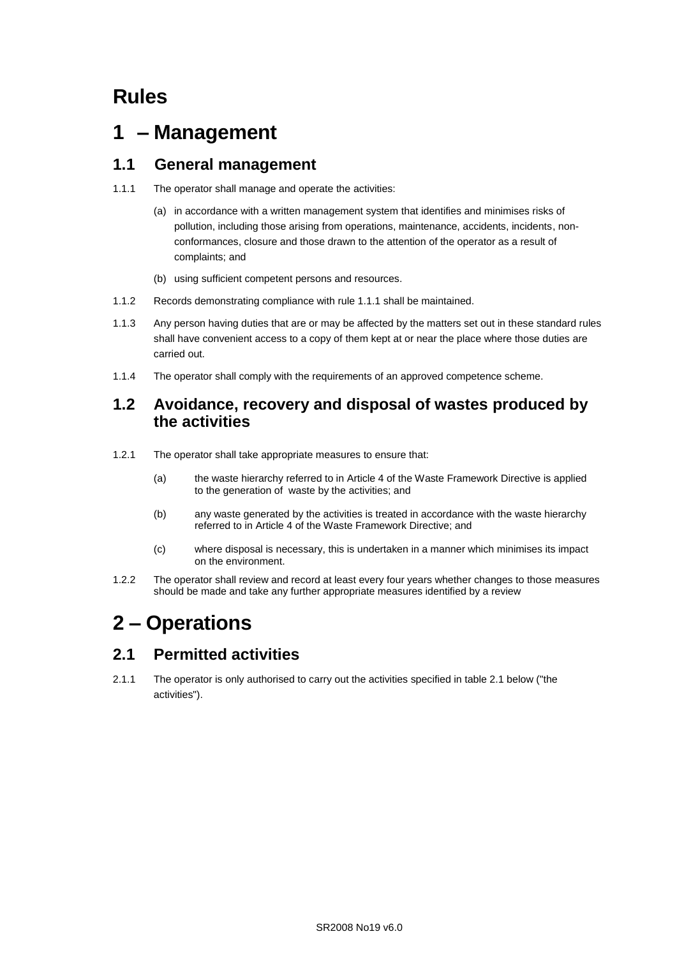# **Rules**

# **1 – Management**

### **1.1 General management**

- 1.1.1 The operator shall manage and operate the activities:
	- (a) in accordance with a written management system that identifies and minimises risks of pollution, including those arising from operations, maintenance, accidents, incidents, nonconformances, closure and those drawn to the attention of the operator as a result of complaints; and
	- (b) using sufficient competent persons and resources.
- 1.1.2 Records demonstrating compliance with rule 1.1.1 shall be maintained.
- 1.1.3 Any person having duties that are or may be affected by the matters set out in these standard rules shall have convenient access to a copy of them kept at or near the place where those duties are carried out.
- 1.1.4 The operator shall comply with the requirements of an approved competence scheme.

### **1.2 Avoidance, recovery and disposal of wastes produced by the activities**

- 1.2.1 The operator shall take appropriate measures to ensure that:
	- (a) the waste hierarchy referred to in Article 4 of the Waste Framework Directive is applied to the generation of waste by the activities; and
	- (b) any waste generated by the activities is treated in accordance with the waste hierarchy referred to in Article 4 of the Waste Framework Directive; and
	- (c) where disposal is necessary, this is undertaken in a manner which minimises its impact on the environment.
- 1.2.2 The operator shall review and record at least every four years whether changes to those measures should be made and take any further appropriate measures identified by a review

# **2 – Operations**

## **2.1 Permitted activities**

2.1.1 The operator is only authorised to carry out the activities specified in table 2.1 below ("the activities").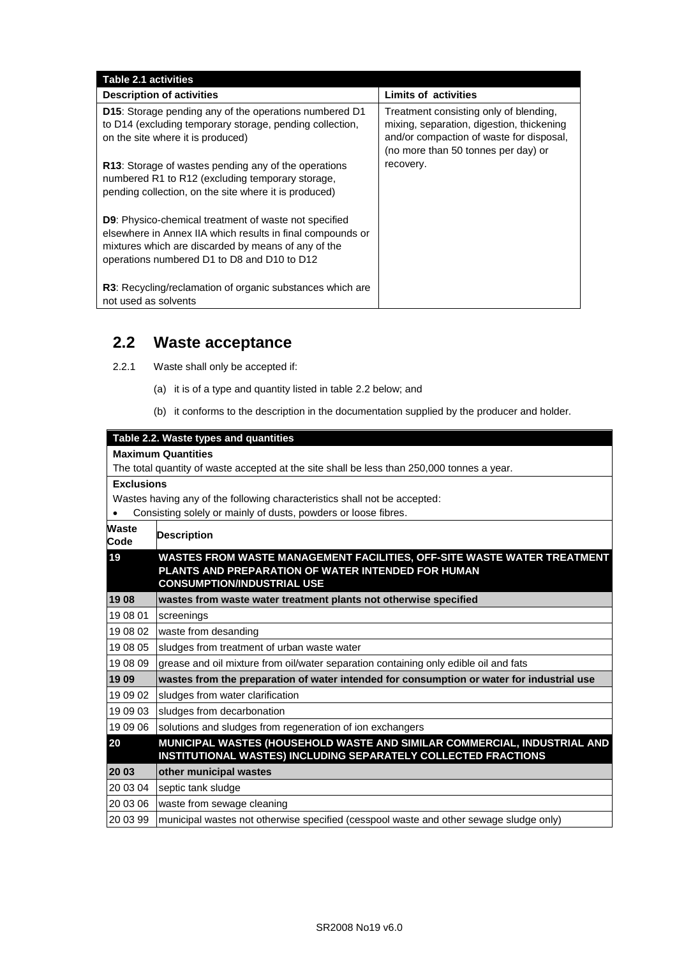| Table 2.1 activities                                                                                                                                                                                                             |                                                                                                                                                                        |
|----------------------------------------------------------------------------------------------------------------------------------------------------------------------------------------------------------------------------------|------------------------------------------------------------------------------------------------------------------------------------------------------------------------|
| <b>Description of activities</b>                                                                                                                                                                                                 | <b>Limits of activities</b>                                                                                                                                            |
| <b>D15:</b> Storage pending any of the operations numbered D1<br>to D14 (excluding temporary storage, pending collection,<br>on the site where it is produced)                                                                   | Treatment consisting only of blending,<br>mixing, separation, digestion, thickening<br>and/or compaction of waste for disposal,<br>(no more than 50 tonnes per day) or |
| R13: Storage of wastes pending any of the operations<br>numbered R1 to R12 (excluding temporary storage,<br>pending collection, on the site where it is produced)                                                                | recovery.                                                                                                                                                              |
| <b>D9:</b> Physico-chemical treatment of waste not specified<br>elsewhere in Annex IIA which results in final compounds or<br>mixtures which are discarded by means of any of the<br>operations numbered D1 to D8 and D10 to D12 |                                                                                                                                                                        |
| R3: Recycling/reclamation of organic substances which are<br>not used as solvents                                                                                                                                                |                                                                                                                                                                        |

### **2.2 Waste acceptance**

- 2.2.1 Waste shall only be accepted if:
	- (a) it is of a type and quantity listed in table 2.2 below; and
	- (b) it conforms to the description in the documentation supplied by the producer and holder.

#### **Table 2.2. Waste types and quantities**

#### **Maximum Quantities**

The total quantity of waste accepted at the site shall be less than 250,000 tonnes a year.

#### **Exclusions**

Wastes having any of the following characteristics shall not be accepted:

Consisting solely or mainly of dusts, powders or loose fibres.

| <b>Waste</b><br>Code | <b>Description</b>                                                                                                                                                 |
|----------------------|--------------------------------------------------------------------------------------------------------------------------------------------------------------------|
| 19                   | WASTES FROM WASTE MANAGEMENT FACILITIES, OFF-SITE WASTE WATER TREATMENT<br>PLANTS AND PREPARATION OF WATER INTENDED FOR HUMAN<br><b>CONSUMPTION/INDUSTRIAL USE</b> |
| 19 08                | wastes from waste water treatment plants not otherwise specified                                                                                                   |
| 19 08 01             | screenings                                                                                                                                                         |
| 19 08 02             | waste from desanding                                                                                                                                               |
| 19 08 05             | sludges from treatment of urban waste water                                                                                                                        |
| 19 08 09             | grease and oil mixture from oil/water separation containing only edible oil and fats                                                                               |
| 19 09                | wastes from the preparation of water intended for consumption or water for industrial use                                                                          |
| 19 09 02             | sludges from water clarification                                                                                                                                   |
| 19 09 03             | sludges from decarbonation                                                                                                                                         |
| 19 09 06             | solutions and sludges from regeneration of ion exchangers                                                                                                          |
| 20                   | MUNICIPAL WASTES (HOUSEHOLD WASTE AND SIMILAR COMMERCIAL, INDUSTRIAL AND<br><b>INSTITUTIONAL WASTES) INCLUDING SEPARATELY COLLECTED FRACTIONS</b>                  |
| 20 03                | other municipal wastes                                                                                                                                             |
| 20 03 04             | septic tank sludge                                                                                                                                                 |
| 20 03 06             | waste from sewage cleaning                                                                                                                                         |
| 20 03 99             | municipal wastes not otherwise specified (cesspool waste and other sewage sludge only)                                                                             |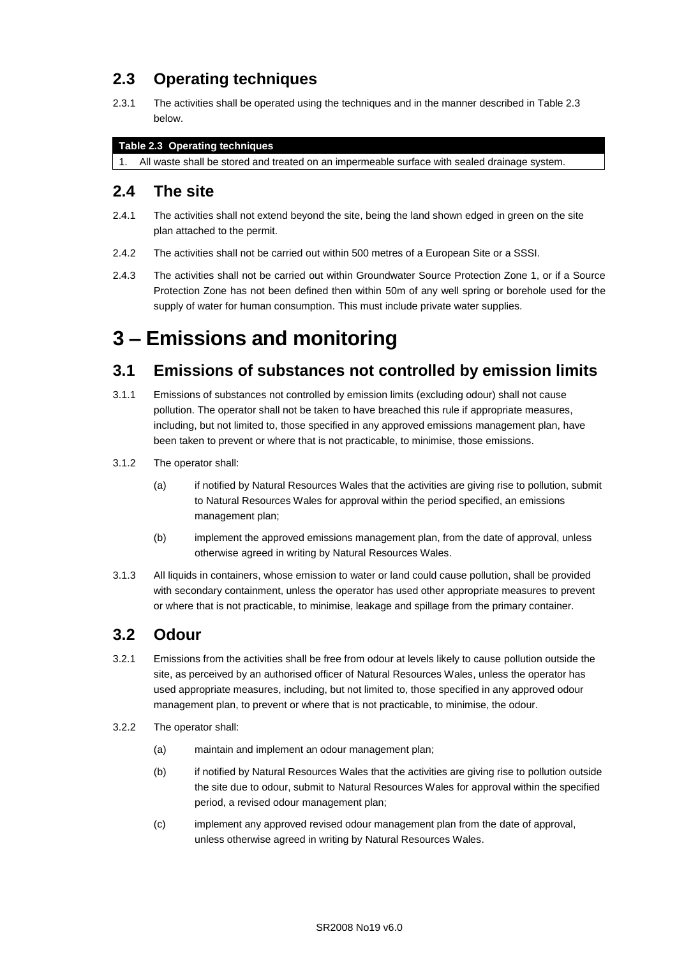## **2.3 Operating techniques**

2.3.1 The activities shall be operated using the techniques and in the manner described in Table 2.3 below.

#### **Table 2.3 Operating techniques**

1. All waste shall be stored and treated on an impermeable surface with sealed drainage system.

### **2.4 The site**

- 2.4.1 The activities shall not extend beyond the site, being the land shown edged in green on the site plan attached to the permit.
- 2.4.2 The activities shall not be carried out within 500 metres of a European Site or a SSSI.
- 2.4.3 The activities shall not be carried out within Groundwater Source Protection Zone 1, or if a Source Protection Zone has not been defined then within 50m of any well spring or borehole used for the supply of water for human consumption. This must include private water supplies.

# **3 – Emissions and monitoring**

## **3.1 Emissions of substances not controlled by emission limits**

- 3.1.1 Emissions of substances not controlled by emission limits (excluding odour) shall not cause pollution. The operator shall not be taken to have breached this rule if appropriate measures, including, but not limited to, those specified in any approved emissions management plan, have been taken to prevent or where that is not practicable, to minimise, those emissions.
- 3.1.2 The operator shall:
	- (a) if notified by Natural Resources Wales that the activities are giving rise to pollution, submit to Natural Resources Wales for approval within the period specified, an emissions management plan;
	- (b) implement the approved emissions management plan, from the date of approval, unless otherwise agreed in writing by Natural Resources Wales.
- 3.1.3 All liquids in containers, whose emission to water or land could cause pollution, shall be provided with secondary containment, unless the operator has used other appropriate measures to prevent or where that is not practicable, to minimise, leakage and spillage from the primary container.

## **3.2 Odour**

- 3.2.1 Emissions from the activities shall be free from odour at levels likely to cause pollution outside the site, as perceived by an authorised officer of Natural Resources Wales, unless the operator has used appropriate measures, including, but not limited to, those specified in any approved odour management plan, to prevent or where that is not practicable, to minimise, the odour.
- 3.2.2 The operator shall:
	- (a) maintain and implement an odour management plan;
	- (b) if notified by Natural Resources Wales that the activities are giving rise to pollution outside the site due to odour, submit to Natural Resources Wales for approval within the specified period, a revised odour management plan;
	- (c) implement any approved revised odour management plan from the date of approval, unless otherwise agreed in writing by Natural Resources Wales.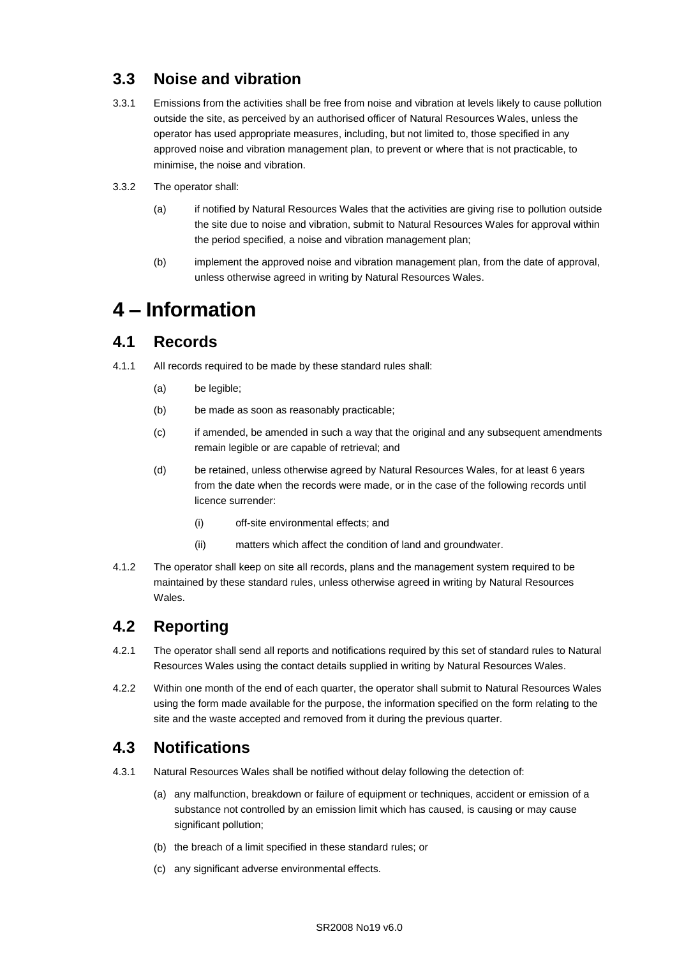## **3.3 Noise and vibration**

- 3.3.1 Emissions from the activities shall be free from noise and vibration at levels likely to cause pollution outside the site, as perceived by an authorised officer of Natural Resources Wales, unless the operator has used appropriate measures, including, but not limited to, those specified in any approved noise and vibration management plan, to prevent or where that is not practicable, to minimise, the noise and vibration.
- 3.3.2 The operator shall:
	- (a) if notified by Natural Resources Wales that the activities are giving rise to pollution outside the site due to noise and vibration, submit to Natural Resources Wales for approval within the period specified, a noise and vibration management plan;
	- (b) implement the approved noise and vibration management plan, from the date of approval, unless otherwise agreed in writing by Natural Resources Wales.

# **4 – Information**

### **4.1 Records**

- 4.1.1 All records required to be made by these standard rules shall:
	- (a) be legible;
	- (b) be made as soon as reasonably practicable;
	- (c) if amended, be amended in such a way that the original and any subsequent amendments remain legible or are capable of retrieval; and
	- (d) be retained, unless otherwise agreed by Natural Resources Wales, for at least 6 years from the date when the records were made, or in the case of the following records until licence surrender:
		- (i) off-site environmental effects; and
		- (ii) matters which affect the condition of land and groundwater.
- 4.1.2 The operator shall keep on site all records, plans and the management system required to be maintained by these standard rules, unless otherwise agreed in writing by Natural Resources Wales.

## **4.2 Reporting**

- 4.2.1 The operator shall send all reports and notifications required by this set of standard rules to Natural Resources Wales using the contact details supplied in writing by Natural Resources Wales.
- 4.2.2 Within one month of the end of each quarter, the operator shall submit to Natural Resources Wales using the form made available for the purpose, the information specified on the form relating to the site and the waste accepted and removed from it during the previous quarter.

## **4.3 Notifications**

- 4.3.1 Natural Resources Wales shall be notified without delay following the detection of:
	- (a) any malfunction, breakdown or failure of equipment or techniques, accident or emission of a substance not controlled by an emission limit which has caused, is causing or may cause significant pollution;
	- (b) the breach of a limit specified in these standard rules; or
	- (c) any significant adverse environmental effects.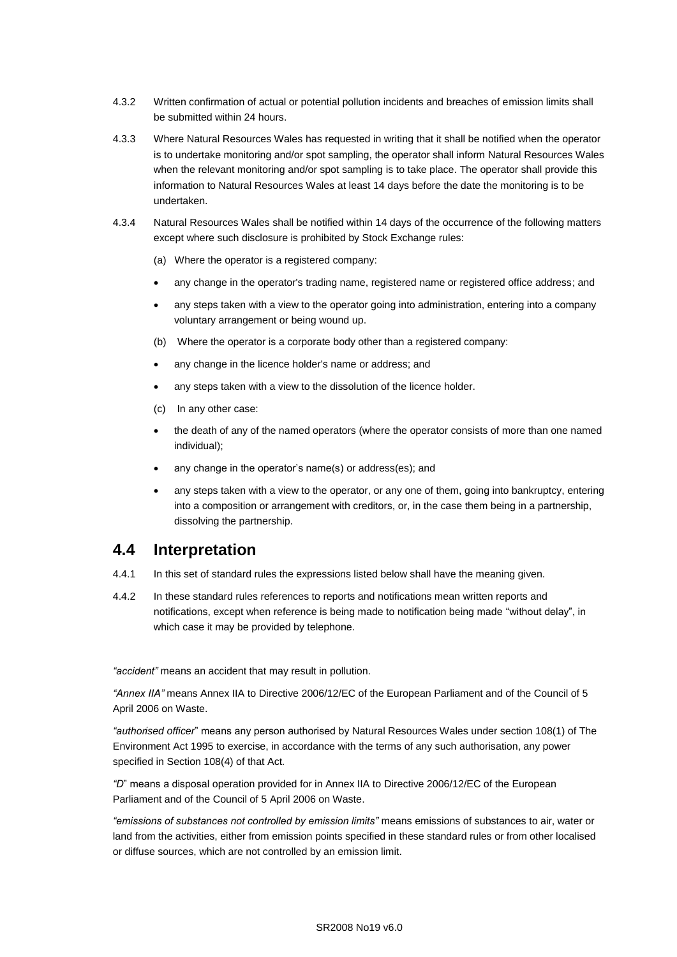- 4.3.2 Written confirmation of actual or potential pollution incidents and breaches of emission limits shall be submitted within 24 hours.
- 4.3.3 Where Natural Resources Wales has requested in writing that it shall be notified when the operator is to undertake monitoring and/or spot sampling, the operator shall inform Natural Resources Wales when the relevant monitoring and/or spot sampling is to take place. The operator shall provide this information to Natural Resources Wales at least 14 days before the date the monitoring is to be undertaken.
- 4.3.4 Natural Resources Wales shall be notified within 14 days of the occurrence of the following matters except where such disclosure is prohibited by Stock Exchange rules:
	- (a) Where the operator is a registered company:
	- any change in the operator's trading name, registered name or registered office address; and
	- any steps taken with a view to the operator going into administration, entering into a company voluntary arrangement or being wound up.
	- (b) Where the operator is a corporate body other than a registered company:
	- any change in the licence holder's name or address; and
	- any steps taken with a view to the dissolution of the licence holder.
	- (c) In any other case:
	- the death of any of the named operators (where the operator consists of more than one named individual);
	- any change in the operator's name(s) or address(es); and
	- any steps taken with a view to the operator, or any one of them, going into bankruptcy, entering into a composition or arrangement with creditors, or, in the case them being in a partnership, dissolving the partnership.

### **4.4 Interpretation**

- 4.4.1 In this set of standard rules the expressions listed below shall have the meaning given.
- 4.4.2 In these standard rules references to reports and notifications mean written reports and notifications, except when reference is being made to notification being made "without delay", in which case it may be provided by telephone.

*"accident"* means an accident that may result in pollution.

*"Annex IIA"* means Annex IIA to Directive 2006/12/EC of the European Parliament and of the Council of 5 April 2006 on Waste.

*"authorised officer*" means any person authorised by Natural Resources Wales under section 108(1) of The Environment Act 1995 to exercise, in accordance with the terms of any such authorisation, any power specified in Section 108(4) of that Act*.*

*"D*" means a disposal operation provided for in Annex IIA to Directive 2006/12/EC of the European Parliament and of the Council of 5 April 2006 on Waste.

*"emissions of substances not controlled by emission limits"* means emissions of substances to air, water or land from the activities, either from emission points specified in these standard rules or from other localised or diffuse sources, which are not controlled by an emission limit.